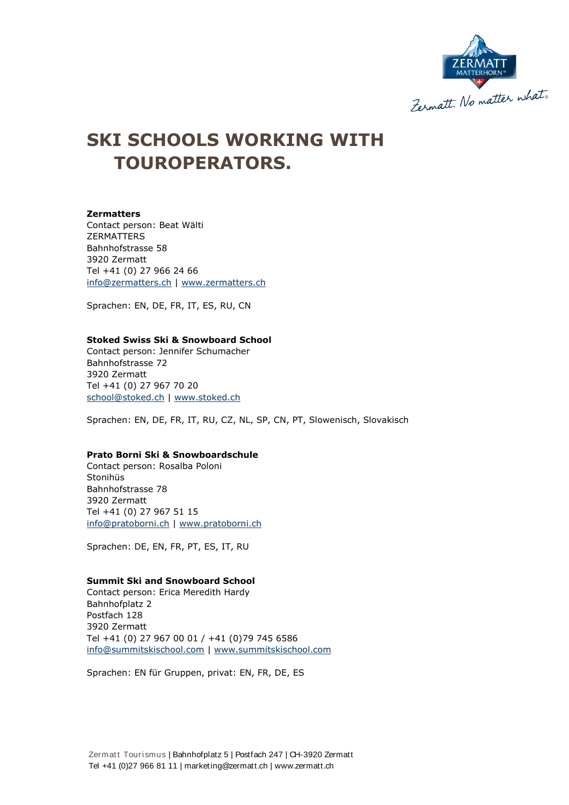

# **SKI SCHOOLS WORKING WITH TOUROPERATORS.**

## **Zermatters**

Contact person: Beat Wälti ZERMATTERS Bahnhofstrasse 58 3920 Zermatt Tel +41 (0) 27 966 24 66 [info@zermatters.ch](mailto:info@zermatters.ch) | www.zermatters.ch

Sprachen: EN, DE, FR, IT, ES, RU, CN

#### **Stoked Swiss Ski & Snowboard School**

Contact person: Jennifer Schumacher Bahnhofstrasse 72 3920 Zermatt Tel +41 (0) 27 967 70 20 [school@stoked.ch](mailto:school@stoked.ch) | [www.stoked.ch](http://www.stoked.ch/)

Sprachen: EN, DE, FR, IT, RU, CZ, NL, SP, CN, PT, Slowenisch, Slovakisch

# **Prato Borni Ski & Snowboardschule**

Contact person: Rosalba Poloni Stonihüs Bahnhofstrasse 78 3920 Zermatt Tel +41 (0) 27 967 51 15 [info@pratoborni.ch](mailto:info@pratoborni.ch) | [www.pratoborni.ch](http://www.pratoborni.ch/)

Sprachen: DE, EN, FR, PT, ES, IT, RU

### **Summit Ski and Snowboard School**

Contact person: Erica Meredith Hardy Bahnhofplatz 2 Postfach 128 3920 Zermatt Tel +41 (0) 27 967 00 01 / +41 (0)79 745 6586 [info@summitskischool.com](mailto:info@summitskischool.com) | [www.summitskischool.com](http://www.summitskischool.com/)

Sprachen: EN für Gruppen, privat: EN, FR, DE, ES